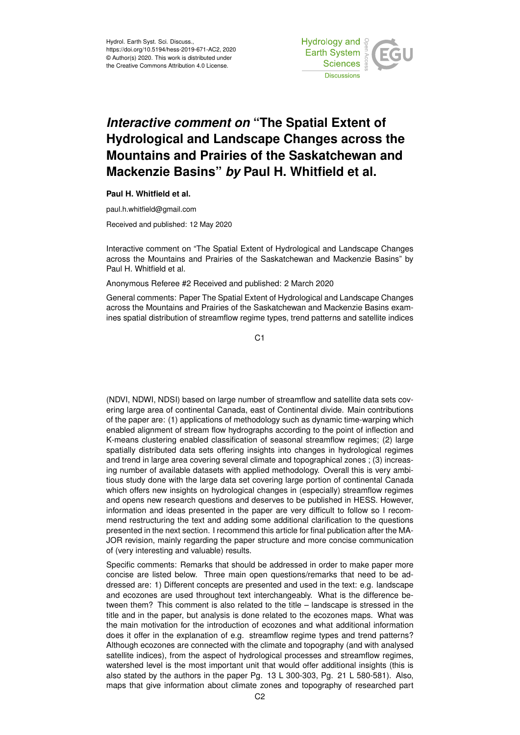

## *Interactive comment on* **"The Spatial Extent of Hydrological and Landscape Changes across the Mountains and Prairies of the Saskatchewan and Mackenzie Basins"** *by* **Paul H. Whitfield et al.**

## **Paul H. Whitfield et al.**

paul.h.whitfield@gmail.com

Received and published: 12 May 2020

Interactive comment on "The Spatial Extent of Hydrological and Landscape Changes across the Mountains and Prairies of the Saskatchewan and Mackenzie Basins" by Paul H. Whitfield et al.

Anonymous Referee #2 Received and published: 2 March 2020

General comments: Paper The Spatial Extent of Hydrological and Landscape Changes across the Mountains and Prairies of the Saskatchewan and Mackenzie Basins examines spatial distribution of streamflow regime types, trend patterns and satellite indices

C1

(NDVI, NDWI, NDSI) based on large number of streamflow and satellite data sets covering large area of continental Canada, east of Continental divide. Main contributions of the paper are: (1) applications of methodology such as dynamic time-warping which enabled alignment of stream flow hydrographs according to the point of inflection and K-means clustering enabled classification of seasonal streamflow regimes; (2) large spatially distributed data sets offering insights into changes in hydrological regimes and trend in large area covering several climate and topographical zones ; (3) increasing number of available datasets with applied methodology. Overall this is very ambitious study done with the large data set covering large portion of continental Canada which offers new insights on hydrological changes in (especially) streamflow regimes and opens new research questions and deserves to be published in HESS. However, information and ideas presented in the paper are very difficult to follow so I recommend restructuring the text and adding some additional clarification to the questions presented in the next section. I recommend this article for final publication after the MA-JOR revision, mainly regarding the paper structure and more concise communication of (very interesting and valuable) results.

Specific comments: Remarks that should be addressed in order to make paper more concise are listed below. Three main open questions/remarks that need to be addressed are: 1) Different concepts are presented and used in the text: e.g. landscape and ecozones are used throughout text interchangeably. What is the difference between them? This comment is also related to the title – landscape is stressed in the title and in the paper, but analysis is done related to the ecozones maps. What was the main motivation for the introduction of ecozones and what additional information does it offer in the explanation of e.g. streamflow regime types and trend patterns? Although ecozones are connected with the climate and topography (and with analysed satellite indices), from the aspect of hydrological processes and streamflow regimes, watershed level is the most important unit that would offer additional insights (this is also stated by the authors in the paper Pg. 13 L 300-303, Pg. 21 L 580-581). Also, maps that give information about climate zones and topography of researched part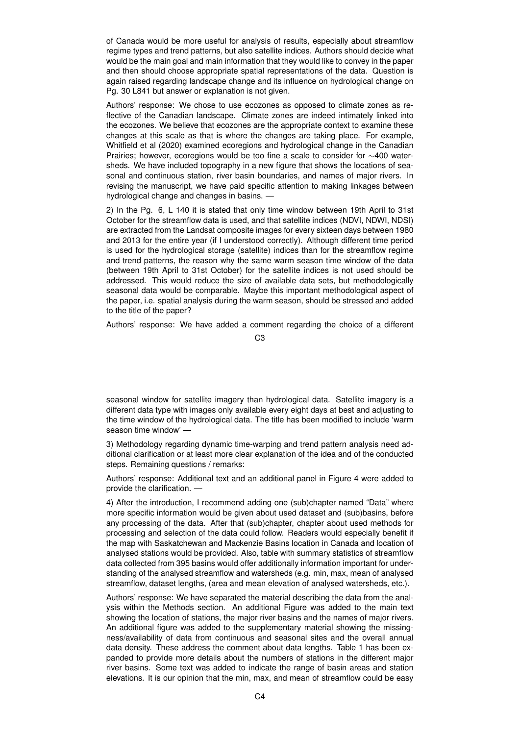of Canada would be more useful for analysis of results, especially about streamflow regime types and trend patterns, but also satellite indices. Authors should decide what would be the main goal and main information that they would like to convey in the paper and then should choose appropriate spatial representations of the data. Question is again raised regarding landscape change and its influence on hydrological change on Pg. 30 L841 but answer or explanation is not given.

Authors' response: We chose to use ecozones as opposed to climate zones as reflective of the Canadian landscape. Climate zones are indeed intimately linked into the ecozones. We believe that ecozones are the appropriate context to examine these changes at this scale as that is where the changes are taking place. For example, Whitfield et al (2020) examined ecoregions and hydrological change in the Canadian Prairies; however, ecoregions would be too fine a scale to consider for ∼400 watersheds. We have included topography in a new figure that shows the locations of seasonal and continuous station, river basin boundaries, and names of major rivers. In revising the manuscript, we have paid specific attention to making linkages between hydrological change and changes in basins. —

2) In the Pg. 6, L 140 it is stated that only time window between 19th April to 31st October for the streamflow data is used, and that satellite indices (NDVI, NDWI, NDSI) are extracted from the Landsat composite images for every sixteen days between 1980 and 2013 for the entire year (if I understood correctly). Although different time period is used for the hydrological storage (satellite) indices than for the streamflow regime and trend patterns, the reason why the same warm season time window of the data (between 19th April to 31st October) for the satellite indices is not used should be addressed. This would reduce the size of available data sets, but methodologically seasonal data would be comparable. Maybe this important methodological aspect of the paper, i.e. spatial analysis during the warm season, should be stressed and added to the title of the paper?

Authors' response: We have added a comment regarding the choice of a different

C3

seasonal window for satellite imagery than hydrological data. Satellite imagery is a different data type with images only available every eight days at best and adjusting to the time window of the hydrological data. The title has been modified to include 'warm season time window' -

3) Methodology regarding dynamic time-warping and trend pattern analysis need additional clarification or at least more clear explanation of the idea and of the conducted steps. Remaining questions / remarks:

Authors' response: Additional text and an additional panel in Figure 4 were added to provide the clarification. —

4) After the introduction, I recommend adding one (sub)chapter named "Data" where more specific information would be given about used dataset and (sub)basins, before any processing of the data. After that (sub)chapter, chapter about used methods for processing and selection of the data could follow. Readers would especially benefit if the map with Saskatchewan and Mackenzie Basins location in Canada and location of analysed stations would be provided. Also, table with summary statistics of streamflow data collected from 395 basins would offer additionally information important for understanding of the analysed streamflow and watersheds (e.g. min, max, mean of analysed streamflow, dataset lengths, (area and mean elevation of analysed watersheds, etc.).

Authors' response: We have separated the material describing the data from the analysis within the Methods section. An additional Figure was added to the main text showing the location of stations, the major river basins and the names of major rivers. An additional figure was added to the supplementary material showing the missingness/availability of data from continuous and seasonal sites and the overall annual data density. These address the comment about data lengths. Table 1 has been expanded to provide more details about the numbers of stations in the different major river basins. Some text was added to indicate the range of basin areas and station elevations. It is our opinion that the min, max, and mean of streamflow could be easy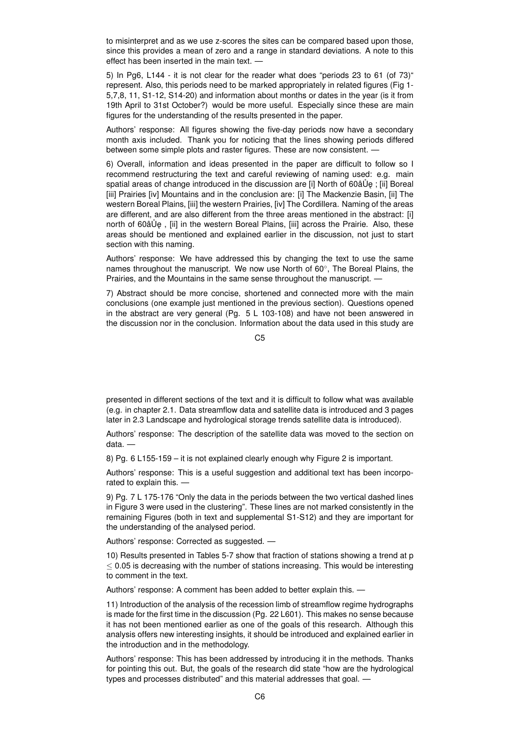to misinterpret and as we use z-scores the sites can be compared based upon those, since this provides a mean of zero and a range in standard deviations. A note to this effect has been inserted in the main text. —

5) In Pg6, L144 - it is not clear for the reader what does "periods 23 to 61 (of 73)" represent. Also, this periods need to be marked appropriately in related figures (Fig 1- 5,7,8, 11, S1-12, S14-20) and information about months or dates in the year (is it from 19th April to 31st October?) would be more useful. Especially since these are main figures for the understanding of the results presented in the paper.

Authors' response: All figures showing the five-day periods now have a secondary month axis included. Thank you for noticing that the lines showing periods differed between some simple plots and raster figures. These are now consistent. —

6) Overall, information and ideas presented in the paper are difficult to follow so I recommend restructuring the text and careful reviewing of naming used: e.g. main spatial areas of change introduced in the discussion are [i] North of 60â Ue; [ii] Boreal [iii] Prairies [iv] Mountains and in the conclusion are: [i] The Mackenzie Basin, [ii] The western Boreal Plains, [iii] the western Prairies, [iv] The Cordillera. Naming of the areas are different, and are also different from the three areas mentioned in the abstract: [i] north of 60âÜe, [ii] in the western Boreal Plains, [iii] across the Prairie. Also, these areas should be mentioned and explained earlier in the discussion, not just to start section with this naming.

Authors' response: We have addressed this by changing the text to use the same names throughout the manuscript. We now use North of 60°, The Boreal Plains, the Prairies, and the Mountains in the same sense throughout the manuscript. —

7) Abstract should be more concise, shortened and connected more with the main conclusions (one example just mentioned in the previous section). Questions opened in the abstract are very general (Pg. 5 L 103-108) and have not been answered in the discussion nor in the conclusion. Information about the data used in this study are

 $C<sub>5</sub>$ 

presented in different sections of the text and it is difficult to follow what was available (e.g. in chapter 2.1. Data streamflow data and satellite data is introduced and 3 pages later in 2.3 Landscape and hydrological storage trends satellite data is introduced).

Authors' response: The description of the satellite data was moved to the section on data. —

8) Pg. 6 L155-159 – it is not explained clearly enough why Figure 2 is important.

Authors' response: This is a useful suggestion and additional text has been incorporated to explain this. —

9) Pg. 7 L 175-176 "Only the data in the periods between the two vertical dashed lines in Figure 3 were used in the clustering". These lines are not marked consistently in the remaining Figures (both in text and supplemental S1-S12) and they are important for the understanding of the analysed period.

Authors' response: Corrected as suggested. —

10) Results presented in Tables 5-7 show that fraction of stations showing a trend at p  $<$  0.05 is decreasing with the number of stations increasing. This would be interesting to comment in the text.

Authors' response: A comment has been added to better explain this.  $\cdot$ 

11) Introduction of the analysis of the recession limb of streamflow regime hydrographs is made for the first time in the discussion (Pg. 22 L601). This makes no sense because it has not been mentioned earlier as one of the goals of this research. Although this analysis offers new interesting insights, it should be introduced and explained earlier in the introduction and in the methodology.

Authors' response: This has been addressed by introducing it in the methods. Thanks for pointing this out. But, the goals of the research did state "how are the hydrological types and processes distributed" and this material addresses that goal. —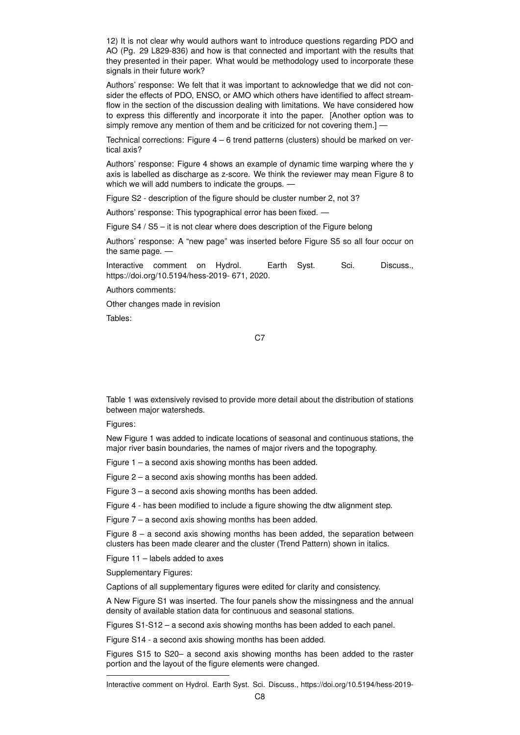12) It is not clear why would authors want to introduce questions regarding PDO and AO (Pg. 29 L829-836) and how is that connected and important with the results that they presented in their paper. What would be methodology used to incorporate these signals in their future work?

Authors' response: We felt that it was important to acknowledge that we did not consider the effects of PDO, ENSO, or AMO which others have identified to affect streamflow in the section of the discussion dealing with limitations. We have considered how to express this differently and incorporate it into the paper. [Another option was to simply remove any mention of them and be criticized for not covering them.] -

Technical corrections: Figure 4 – 6 trend patterns (clusters) should be marked on vertical axis?

Authors' response: Figure 4 shows an example of dynamic time warping where the y axis is labelled as discharge as z-score. We think the reviewer may mean Figure 8 to which we will add numbers to indicate the groups. -

Figure S2 - description of the figure should be cluster number 2, not 3?

Authors' response: This typographical error has been fixed. —

Figure S4 / S5 – it is not clear where does description of the Figure belong

Authors' response: A "new page" was inserted before Figure S5 so all four occur on the same page. —

Interactive comment on Hydrol. Earth Syst. Sci. Discuss., https://doi.org/10.5194/hess-2019- 671, 2020.

Authors comments:

Other changes made in revision

Tables:

C7

Table 1 was extensively revised to provide more detail about the distribution of stations between major watersheds.

Figures:

New Figure 1 was added to indicate locations of seasonal and continuous stations, the major river basin boundaries, the names of major rivers and the topography.

Figure 1 – a second axis showing months has been added.

Figure 2 – a second axis showing months has been added.

Figure 3 – a second axis showing months has been added.

Figure 4 - has been modified to include a figure showing the dtw alignment step.

Figure 7 – a second axis showing months has been added.

Figure  $8 - a$  second axis showing months has been added, the separation between clusters has been made clearer and the cluster (Trend Pattern) shown in italics.

Figure 11 – labels added to axes

Supplementary Figures:

Captions of all supplementary figures were edited for clarity and consistency.

A New Figure S1 was inserted. The four panels show the missingness and the annual density of available station data for continuous and seasonal stations.

Figures S1-S12 – a second axis showing months has been added to each panel.

Figure S14 - a second axis showing months has been added.

Figures S15 to S20– a second axis showing months has been added to the raster portion and the layout of the figure elements were changed.

Interactive comment on Hydrol. Earth Syst. Sci. Discuss., https://doi.org/10.5194/hess-2019-